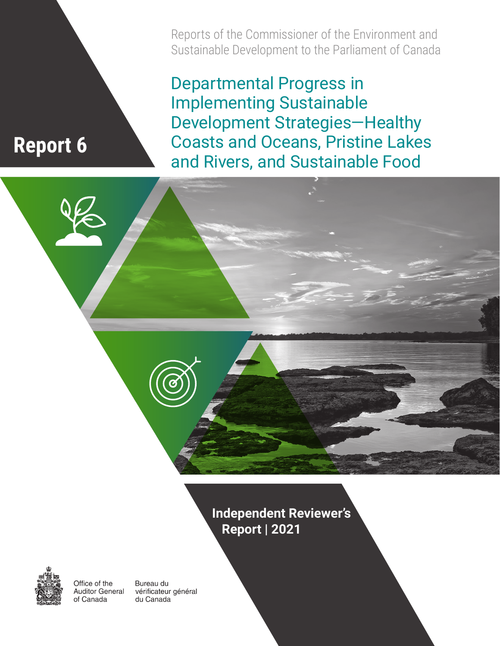Reports of the Commissioner of the Environment and Sustainable Development to the Parliament of Canada

Departmental Progress in Implementing Sustainable Development Strategies—Healthy Coasts and Oceans, Pristine Lakes **Report 6** Coasts and Oceans, Pristine Lake<br>and Rivers, and Sustainable Food





Office of the **Auditor General** of Canada

Bureau du vérificateur général du Canada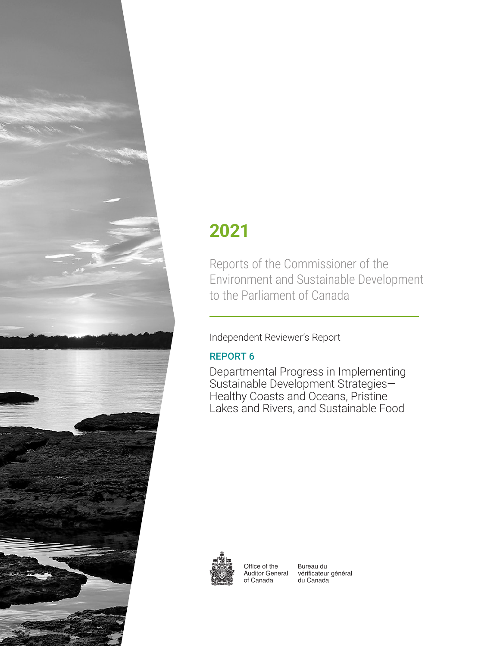

# **2021**

Reports of the Commissioner of the Environment and Sustainable Development to the Parliament of Canada

### Independent Reviewer's Report

### REPORT 6

Departmental Progress in Implementing Sustainable Development Strategies— Healthy Coasts and Oceans, Pristine Lakes and Rivers, and Sustainable Food



Office of the **Auditor General** of Canada

Bureau du vérificateur général du Canada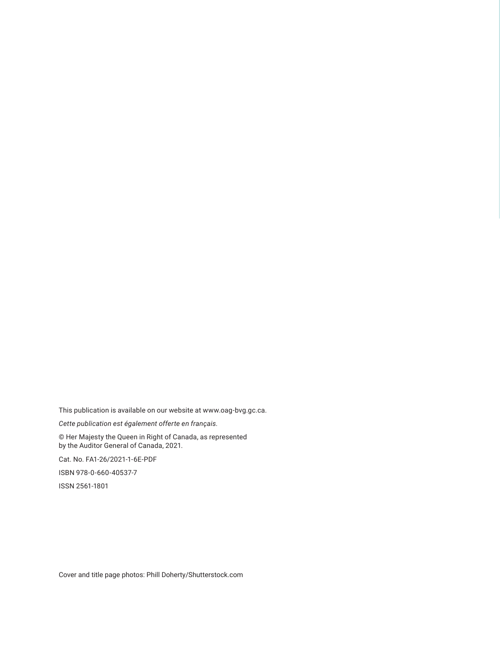This publication is available on our website at www.oag-bvg.gc.ca.

*Cette publication est également offerte en français.*

© Her Majesty the Queen in Right of Canada, as represented by the Auditor General of Canada, 2021.

Cat. No. FA1-26/2021-1-6E-PDF

ISBN 978-0-660-40537-7

ISSN 2561-1801

Cover and title page photos: Phill Doherty/Shutterstock.com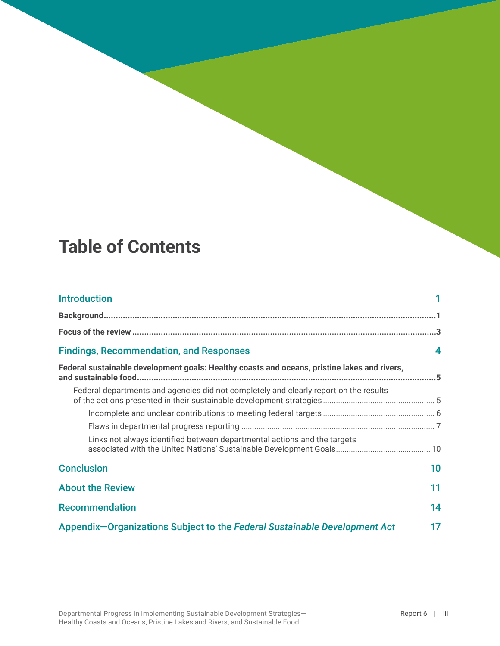## **Table of Contents**

| <b>Introduction</b>                                                                          |    |
|----------------------------------------------------------------------------------------------|----|
|                                                                                              |    |
|                                                                                              |    |
| <b>Findings, Recommendation, and Responses</b>                                               | 4  |
| Federal sustainable development goals: Healthy coasts and oceans, pristine lakes and rivers, |    |
| Federal departments and agencies did not completely and clearly report on the results        |    |
|                                                                                              |    |
|                                                                                              |    |
| Links not always identified between departmental actions and the targets                     |    |
| <b>Conclusion</b>                                                                            | 10 |
| <b>About the Review</b>                                                                      | 11 |
| <b>Recommendation</b>                                                                        | 14 |
| Appendix-Organizations Subject to the Federal Sustainable Development Act                    | 17 |

Departmental Progress in Implementing Sustainable Development Strategies— Healthy Coasts and Oceans, Pristine Lakes and Rivers, and Sustainable Food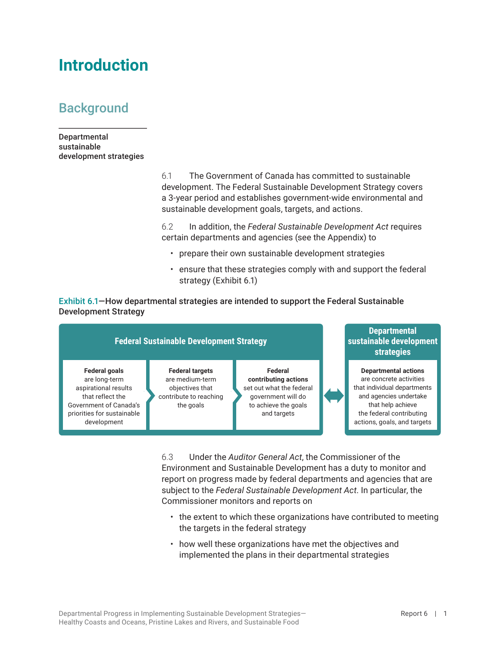## <span id="page-6-0"></span>**Introduction**

### **Background**

Departmental sustainable development strategies

> 6.1 The Government of Canada has committed to sustainable development. The Federal Sustainable Development Strategy covers a 3-year period and establishes government-wide environmental and sustainable development goals, targets, and actions.

> 6.2 In addition, the *Federal Sustainable Development Act* requires certain departments and agencies (see the Appendix) to

- prepare their own sustainable development strategies
- ensure that these strategies comply with and support the federal strategy (Exhibit 6.1)

Exhibit 6.1—How departmental strategies are intended to support the Federal Sustainable Development Strategy



6.3 Under the *Auditor General Act*, the Commissioner of the Environment and Sustainable Development has a duty to monitor and report on progress made by federal departments and agencies that are subject to the *Federal Sustainable Development Act*. In particular, the Commissioner monitors and reports on

- the extent to which these organizations have contributed to meeting the targets in the federal strategy
- how well these organizations have met the objectives and implemented the plans in their departmental strategies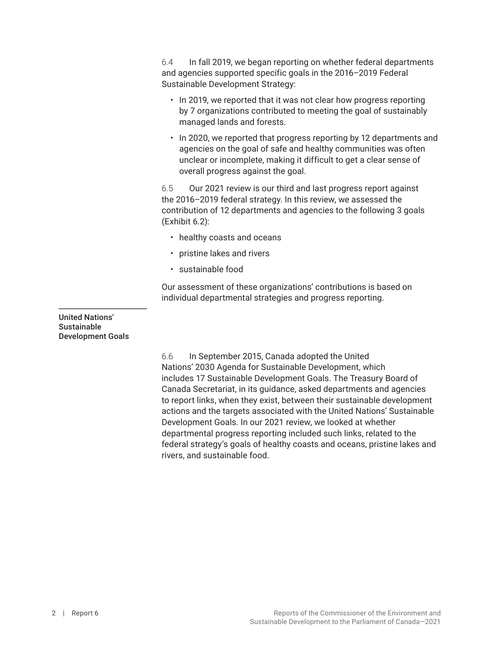6.4 In fall 2019, we began reporting on whether federal departments and agencies supported specific goals in the 2016–2019 Federal Sustainable Development Strategy:

- In 2019, we reported that it was not clear how progress reporting by 7 organizations contributed to meeting the goal of sustainably managed lands and forests.
- In 2020, we reported that progress reporting by 12 departments and agencies on the goal of safe and healthy communities was often unclear or incomplete, making it difficult to get a clear sense of overall progress against the goal.

6.5 Our 2021 review is our third and last progress report against the 2016–2019 federal strategy. In this review, we assessed the contribution of 12 departments and agencies to the following 3 goals (Exhibit 6.2):

- healthy coasts and oceans
- pristine lakes and rivers
- sustainable food

Our assessment of these organizations' contributions is based on individual departmental strategies and progress reporting.

United Nations' **Sustainable** Development Goals

> 6.6 In September 2015, Canada adopted the United Nations' 2030 Agenda for Sustainable Development, which includes 17 Sustainable Development Goals. The Treasury Board of Canada Secretariat, in its guidance, asked departments and agencies to report links, when they exist, between their sustainable development actions and the targets associated with the United Nations' Sustainable Development Goals. In our 2021 review, we looked at whether departmental progress reporting included such links, related to the federal strategy's goals of healthy coasts and oceans, pristine lakes and rivers, and sustainable food.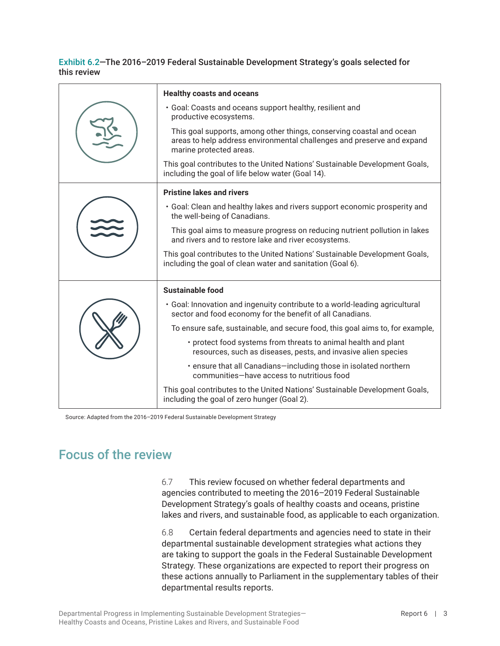<span id="page-8-0"></span>

| Exhibit 6.2-The 2016-2019 Federal Sustainable Development Strategy's goals selected for |  |
|-----------------------------------------------------------------------------------------|--|
| this review                                                                             |  |

|  | <b>Healthy coasts and oceans</b>                                                                                                                                          |
|--|---------------------------------------------------------------------------------------------------------------------------------------------------------------------------|
|  | . Goal: Coasts and oceans support healthy, resilient and<br>productive ecosystems.                                                                                        |
|  | This goal supports, among other things, conserving coastal and ocean<br>areas to help address environmental challenges and preserve and expand<br>marine protected areas. |
|  | This goal contributes to the United Nations' Sustainable Development Goals,<br>including the goal of life below water (Goal 14).                                          |
|  | <b>Pristine lakes and rivers</b>                                                                                                                                          |
|  | • Goal: Clean and healthy lakes and rivers support economic prosperity and<br>the well-being of Canadians.                                                                |
|  | This goal aims to measure progress on reducing nutrient pollution in lakes<br>and rivers and to restore lake and river ecosystems.                                        |
|  | This goal contributes to the United Nations' Sustainable Development Goals,<br>including the goal of clean water and sanitation (Goal 6).                                 |
|  | Sustainable food                                                                                                                                                          |
|  | • Goal: Innovation and ingenuity contribute to a world-leading agricultural<br>sector and food economy for the benefit of all Canadians.                                  |
|  | To ensure safe, sustainable, and secure food, this goal aims to, for example,                                                                                             |
|  | • protect food systems from threats to animal health and plant<br>resources, such as diseases, pests, and invasive alien species                                          |
|  | • ensure that all Canadians-including those in isolated northern<br>communities-have access to nutritious food                                                            |
|  | This goal contributes to the United Nations' Sustainable Development Goals,<br>including the goal of zero hunger (Goal 2).                                                |

Source: Adapted from the 2016–2019 Federal Sustainable Development Strategy

### Focus of the review

6.7 This review focused on whether federal departments and agencies contributed to meeting the 2016–2019 Federal Sustainable Development Strategy's goals of healthy coasts and oceans, pristine lakes and rivers, and sustainable food, as applicable to each organization.

6.8 Certain federal departments and agencies need to state in their departmental sustainable development strategies what actions they are taking to support the goals in the Federal Sustainable Development Strategy. These organizations are expected to report their progress on these actions annually to Parliament in the supplementary tables of their departmental results reports.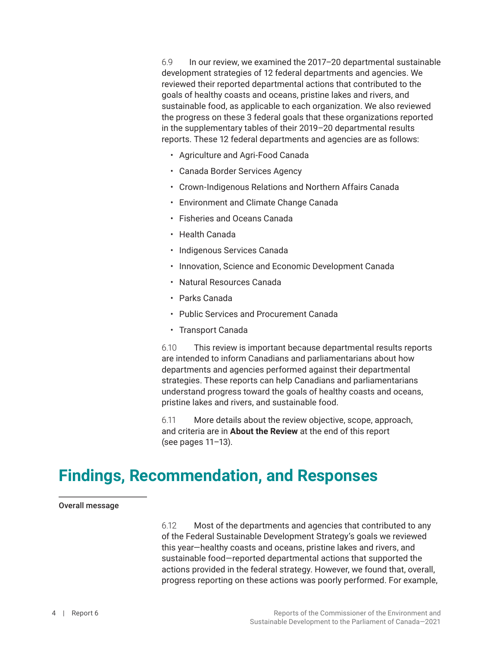<span id="page-9-0"></span>6.9 In our review, we examined the 2017–20 departmental sustainable development strategies of 12 federal departments and agencies. We reviewed their reported departmental actions that contributed to the goals of healthy coasts and oceans, pristine lakes and rivers, and sustainable food, as applicable to each organization. We also reviewed the progress on these 3 federal goals that these organizations reported in the supplementary tables of their 2019–20 departmental results reports. These 12 federal departments and agencies are as follows:

- Agriculture and Agri-Food Canada
- Canada Border Services Agency
- Crown-Indigenous Relations and Northern Affairs Canada
- Environment and Climate Change Canada
- Fisheries and Oceans Canada
- Health Canada
- Indigenous Services Canada
- Innovation, Science and Economic Development Canada
- Natural Resources Canada
- Parks Canada
- Public Services and Procurement Canada
- Transport Canada

6.10 This review is important because departmental results reports are intended to inform Canadians and parliamentarians about how departments and agencies performed against their departmental strategies. These reports can help Canadians and parliamentarians understand progress toward the goals of healthy coasts and oceans, pristine lakes and rivers, and sustainable food.

6.11 More details about the review objective, scope, approach, and criteria are in **About the Review** at the end of this report (see pages 11–13).

## **Findings, Recommendation, and Responses**

#### Overall message

6.12 Most of the departments and agencies that contributed to any of the Federal Sustainable Development Strategy's goals we reviewed this year—healthy coasts and oceans, pristine lakes and rivers, and sustainable food—reported departmental actions that supported the actions provided in the federal strategy. However, we found that, overall, progress reporting on these actions was poorly performed. For example,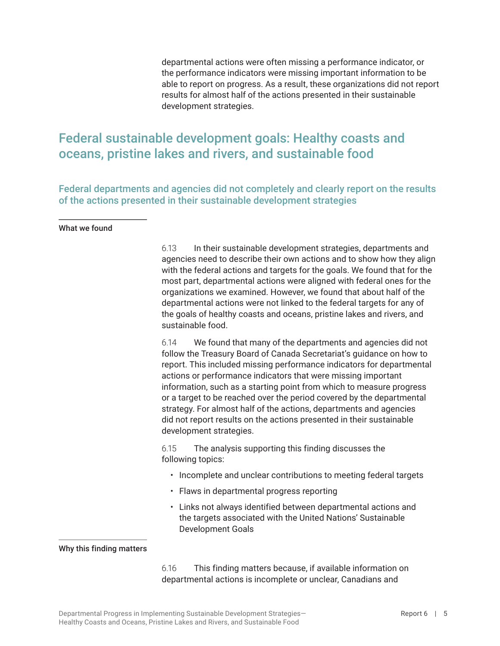departmental actions were often missing a performance indicator, or the performance indicators were missing important information to be able to report on progress. As a result, these organizations did not report results for almost half of the actions presented in their sustainable development strategies.

### <span id="page-10-0"></span>Federal sustainable development goals: Healthy coasts and oceans, pristine lakes and rivers, and sustainable food

Federal departments and agencies did not completely and clearly report on the results of the actions presented in their sustainable development strategies

What we found

6.13 In their sustainable development strategies, departments and agencies need to describe their own actions and to show how they align with the federal actions and targets for the goals. We found that for the most part, departmental actions were aligned with federal ones for the organizations we examined. However, we found that about half of the departmental actions were not linked to the federal targets for any of the goals of healthy coasts and oceans, pristine lakes and rivers, and sustainable food.

6.14 We found that many of the departments and agencies did not follow the Treasury Board of Canada Secretariat's guidance on how to report. This included missing performance indicators for departmental actions or performance indicators that were missing important information, such as a starting point from which to measure progress or a target to be reached over the period covered by the departmental strategy. For almost half of the actions, departments and agencies did not report results on the actions presented in their sustainable development strategies.

6.15 The analysis supporting this finding discusses the following topics:

- Incomplete and unclear contributions to meeting federal targets
- Flaws in departmental progress reporting
- Links not always identified between departmental actions and the targets associated with the United Nations' Sustainable Development Goals

#### Why this finding matters

6.16 This finding matters because, if available information on departmental actions is incomplete or unclear, Canadians and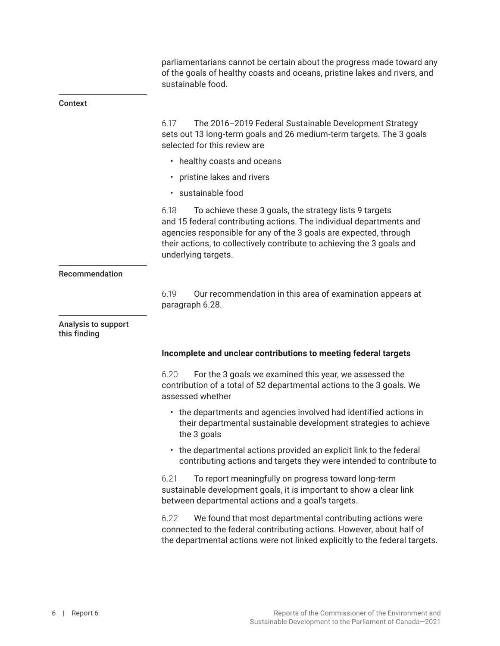parliamentarians cannot be certain about the progress made toward any of the goals of healthy coasts and oceans, pristine lakes and rivers, and sustainable food.

#### <span id="page-11-0"></span>Context

6.17 The 2016–2019 Federal Sustainable Development Strategy sets out 13 long-term goals and 26 medium-term targets. The 3 goals selected for this review are

- healthy coasts and oceans
- pristine lakes and rivers
- sustainable food

6.18 To achieve these 3 goals, the strategy lists 9 targets and 15 federal contributing actions. The individual departments and agencies responsible for any of the 3 goals are expected, through their actions, to collectively contribute to achieving the 3 goals and underlying targets.

#### Recommendation

6.19 Our recommendation in this area of examination appears at paragraph 6.28.

Analysis to support this finding

#### **Incomplete and unclear contributions to meeting federal targets**

6.20 For the 3 goals we examined this year, we assessed the contribution of a total of 52 departmental actions to the 3 goals. We assessed whether

- the departments and agencies involved had identified actions in their departmental sustainable development strategies to achieve the 3 goals
- the departmental actions provided an explicit link to the federal contributing actions and targets they were intended to contribute to

6.21 To report meaningfully on progress toward long-term sustainable development goals, it is important to show a clear link between departmental actions and a goal's targets.

6.22 We found that most departmental contributing actions were connected to the federal contributing actions. However, about half of the departmental actions were not linked explicitly to the federal targets.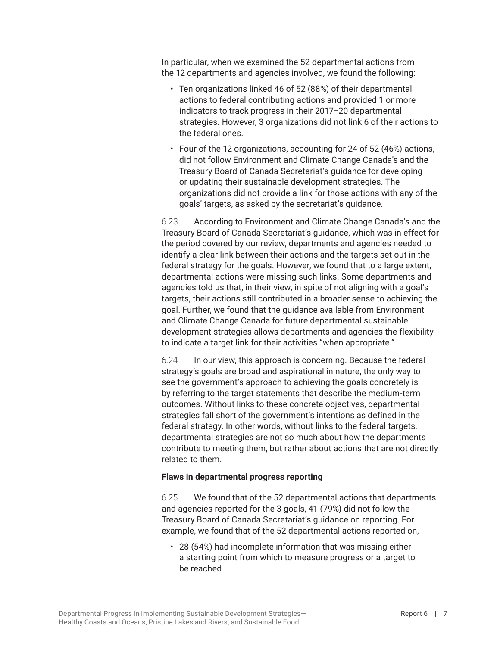<span id="page-12-0"></span>In particular, when we examined the 52 departmental actions from the 12 departments and agencies involved, we found the following:

- Ten organizations linked 46 of 52 (88%) of their departmental actions to federal contributing actions and provided 1 or more indicators to track progress in their 2017–20 departmental strategies. However, 3 organizations did not link 6 of their actions to the federal ones.
- Four of the 12 organizations, accounting for 24 of 52 (46%) actions, did not follow Environment and Climate Change Canada's and the Treasury Board of Canada Secretariat's guidance for developing or updating their sustainable development strategies. The organizations did not provide a link for those actions with any of the goals' targets, as asked by the secretariat's guidance.

6.23 According to Environment and Climate Change Canada's and the Treasury Board of Canada Secretariat's guidance, which was in effect for the period covered by our review, departments and agencies needed to identify a clear link between their actions and the targets set out in the federal strategy for the goals. However, we found that to a large extent, departmental actions were missing such links. Some departments and agencies told us that, in their view, in spite of not aligning with a goal's targets, their actions still contributed in a broader sense to achieving the goal. Further, we found that the guidance available from Environment and Climate Change Canada for future departmental sustainable development strategies allows departments and agencies the flexibility to indicate a target link for their activities "when appropriate."

6.24 In our view, this approach is concerning. Because the federal strategy's goals are broad and aspirational in nature, the only way to see the government's approach to achieving the goals concretely is by referring to the target statements that describe the medium-term outcomes. Without links to these concrete objectives, departmental strategies fall short of the government's intentions as defined in the federal strategy. In other words, without links to the federal targets, departmental strategies are not so much about how the departments contribute to meeting them, but rather about actions that are not directly related to them.

#### **Flaws in departmental progress reporting**

6.25 We found that of the 52 departmental actions that departments and agencies reported for the 3 goals, 41 (79%) did not follow the Treasury Board of Canada Secretariat's guidance on reporting. For example, we found that of the 52 departmental actions reported on,

• 28 (54%) had incomplete information that was missing either a starting point from which to measure progress or a target to be reached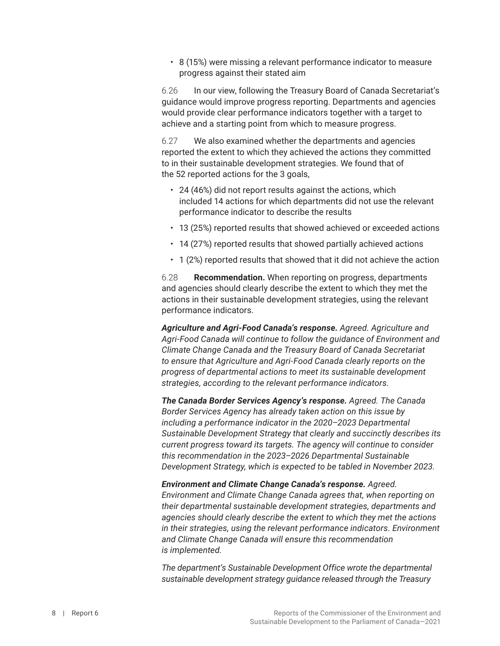• 8 (15%) were missing a relevant performance indicator to measure progress against their stated aim

6.26 In our view, following the Treasury Board of Canada Secretariat's guidance would improve progress reporting. Departments and agencies would provide clear performance indicators together with a target to achieve and a starting point from which to measure progress.

6.27 We also examined whether the departments and agencies reported the extent to which they achieved the actions they committed to in their sustainable development strategies. We found that of the 52 reported actions for the 3 goals,

- 24 (46%) did not report results against the actions, which included 14 actions for which departments did not use the relevant performance indicator to describe the results
- 13 (25%) reported results that showed achieved or exceeded actions
- 14 (27%) reported results that showed partially achieved actions
- 1 (2%) reported results that showed that it did not achieve the action

6.28 **Recommendation.** When reporting on progress, departments and agencies should clearly describe the extent to which they met the actions in their sustainable development strategies, using the relevant performance indicators.

*Agriculture and Agri-Food Canada's response. Agreed. Agriculture and Agri-Food Canada will continue to follow the guidance of Environment and Climate Change Canada and the Treasury Board of Canada Secretariat to ensure that Agriculture and Agri-Food Canada clearly reports on the progress of departmental actions to meet its sustainable development strategies, according to the relevant performance indicators.*

*The Canada Border Services Agency's response. Agreed. The Canada Border Services Agency has already taken action on this issue by including a performance indicator in the 2020–2023 Departmental Sustainable Development Strategy that clearly and succinctly describes its current progress toward its targets. The agency will continue to consider this recommendation in the 2023–2026 Departmental Sustainable Development Strategy, which is expected to be tabled in November 2023.*

*Environment and Climate Change Canada's response. Agreed. Environment and Climate Change Canada agrees that, when reporting on their departmental sustainable development strategies, departments and agencies should clearly describe the extent to which they met the actions in their strategies, using the relevant performance indicators. Environment and Climate Change Canada will ensure this recommendation is implemented.*

*The department's Sustainable Development Office wrote the departmental sustainable development strategy guidance released through the Treasury*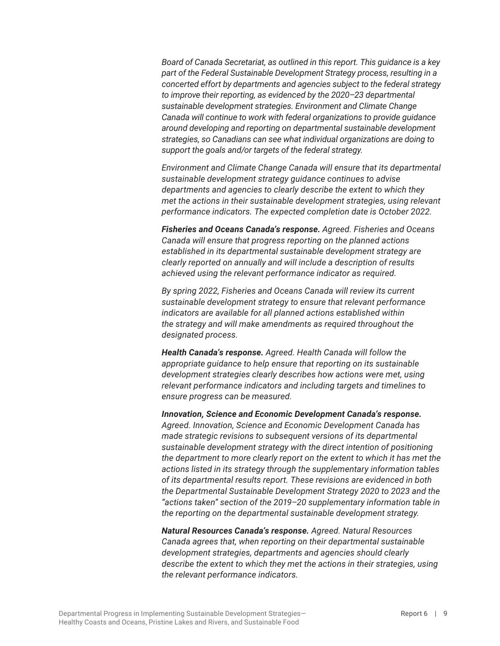*Board of Canada Secretariat, as outlined in this report. This guidance is a key part of the Federal Sustainable Development Strategy process, resulting in a concerted effort by departments and agencies subject to the federal strategy to improve their reporting, as evidenced by the 2020–23 departmental sustainable development strategies. Environment and Climate Change Canada will continue to work with federal organizations to provide guidance around developing and reporting on departmental sustainable development strategies, so Canadians can see what individual organizations are doing to support the goals and/or targets of the federal strategy.*

*Environment and Climate Change Canada will ensure that its departmental sustainable development strategy guidance continues to advise departments and agencies to clearly describe the extent to which they met the actions in their sustainable development strategies, using relevant performance indicators. The expected completion date is October 2022.*

*Fisheries and Oceans Canada's response. Agreed. Fisheries and Oceans Canada will ensure that progress reporting on the planned actions established in its departmental sustainable development strategy are clearly reported on annually and will include a description of results achieved using the relevant performance indicator as required.*

*By spring 2022, Fisheries and Oceans Canada will review its current sustainable development strategy to ensure that relevant performance indicators are available for all planned actions established within the strategy and will make amendments as required throughout the designated process.*

*Health Canada's response. Agreed. Health Canada will follow the appropriate guidance to help ensure that reporting on its sustainable development strategies clearly describes how actions were met, using relevant performance indicators and including targets and timelines to ensure progress can be measured.*

*Innovation, Science and Economic Development Canada's response. Agreed. Innovation, Science and Economic Development Canada has made strategic revisions to subsequent versions of its departmental sustainable development strategy with the direct intention of positioning the department to more clearly report on the extent to which it has met the actions listed in its strategy through the supplementary information tables of its departmental results report. These revisions are evidenced in both the Departmental Sustainable Development Strategy 2020 to 2023 and the "actions taken" section of the 2019–20 supplementary information table in the reporting on the departmental sustainable development strategy.*

*Natural Resources Canada's response. Agreed. Natural Resources Canada agrees that, when reporting on their departmental sustainable development strategies, departments and agencies should clearly describe the extent to which they met the actions in their strategies, using the relevant performance indicators.*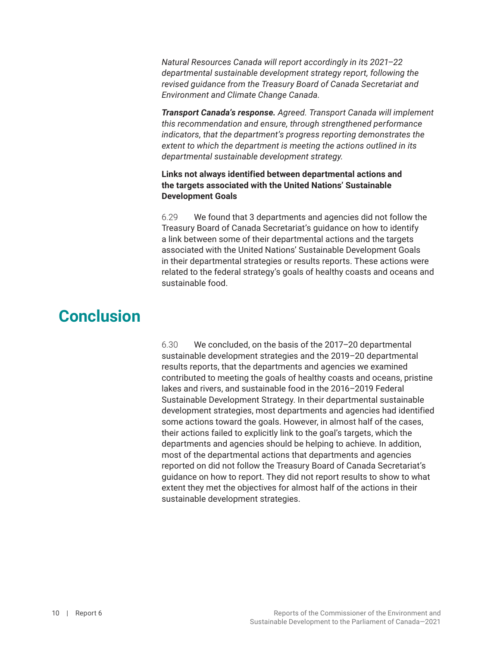<span id="page-15-0"></span>*Natural Resources Canada will report accordingly in its 2021*–*22 departmental sustainable development strategy report, following the revised guidance from the Treasury Board of Canada Secretariat and Environment and Climate Change Canada.*

*Transport Canada's response. Agreed. Transport Canada will implement this recommendation and ensure, through strengthened performance indicators, that the department's progress reporting demonstrates the extent to which the department is meeting the actions outlined in its departmental sustainable development strategy.*

#### **Links not always identified between departmental actions and the targets associated with the United Nations' Sustainable Development Goals**

6.29 We found that 3 departments and agencies did not follow the Treasury Board of Canada Secretariat's guidance on how to identify a link between some of their departmental actions and the targets associated with the United Nations' Sustainable Development Goals in their departmental strategies or results reports. These actions were related to the federal strategy's goals of healthy coasts and oceans and sustainable food.

## **Conclusion**

6.30 We concluded, on the basis of the 2017–20 departmental sustainable development strategies and the 2019–20 departmental results reports, that the departments and agencies we examined contributed to meeting the goals of healthy coasts and oceans, pristine lakes and rivers, and sustainable food in the 2016–2019 Federal Sustainable Development Strategy. In their departmental sustainable development strategies, most departments and agencies had identified some actions toward the goals. However, in almost half of the cases, their actions failed to explicitly link to the goal's targets, which the departments and agencies should be helping to achieve. In addition, most of the departmental actions that departments and agencies reported on did not follow the Treasury Board of Canada Secretariat's guidance on how to report. They did not report results to show to what extent they met the objectives for almost half of the actions in their sustainable development strategies.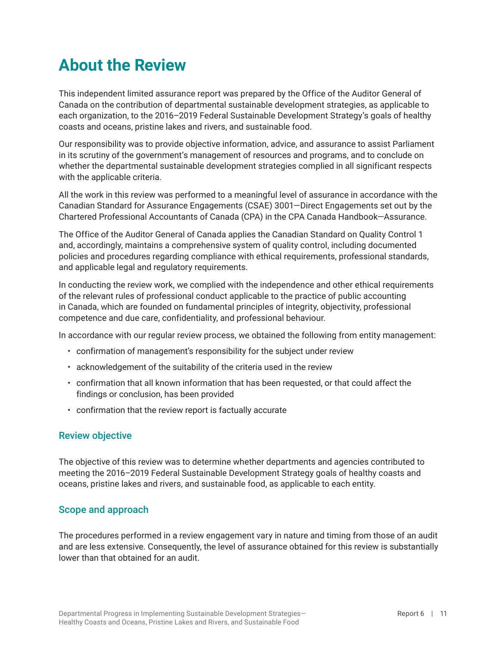## <span id="page-16-0"></span>**About the Review**

This independent limited assurance report was prepared by the Office of the Auditor General of Canada on the contribution of departmental sustainable development strategies, as applicable to each organization, to the 2016–2019 Federal Sustainable Development Strategy's goals of healthy coasts and oceans, pristine lakes and rivers, and sustainable food.

Our responsibility was to provide objective information, advice, and assurance to assist Parliament in its scrutiny of the government's management of resources and programs, and to conclude on whether the departmental sustainable development strategies complied in all significant respects with the applicable criteria.

All the work in this review was performed to a meaningful level of assurance in accordance with the Canadian Standard for Assurance Engagements (CSAE) 3001—Direct Engagements set out by the Chartered Professional Accountants of Canada (CPA) in the CPA Canada Handbook—Assurance.

The Office of the Auditor General of Canada applies the Canadian Standard on Quality Control 1 and, accordingly, maintains a comprehensive system of quality control, including documented policies and procedures regarding compliance with ethical requirements, professional standards, and applicable legal and regulatory requirements.

In conducting the review work, we complied with the independence and other ethical requirements of the relevant rules of professional conduct applicable to the practice of public accounting in Canada, which are founded on fundamental principles of integrity, objectivity, professional competence and due care, confidentiality, and professional behaviour.

In accordance with our regular review process, we obtained the following from entity management:

- confirmation of management's responsibility for the subject under review
- acknowledgement of the suitability of the criteria used in the review
- confirmation that all known information that has been requested, or that could affect the findings or conclusion, has been provided
- confirmation that the review report is factually accurate

#### Review objective

The objective of this review was to determine whether departments and agencies contributed to meeting the 2016–2019 Federal Sustainable Development Strategy goals of healthy coasts and oceans, pristine lakes and rivers, and sustainable food, as applicable to each entity.

#### Scope and approach

The procedures performed in a review engagement vary in nature and timing from those of an audit and are less extensive. Consequently, the level of assurance obtained for this review is substantially lower than that obtained for an audit.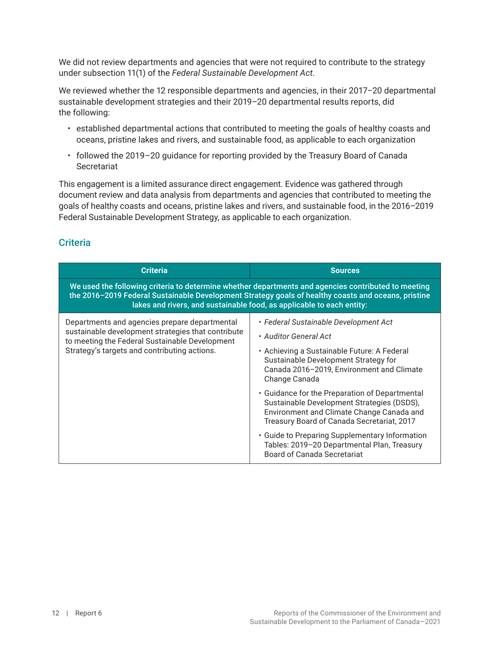We did not review departments and agencies that were not required to contribute to the strategy under subsection 11(1) of the *Federal Sustainable Development Act*.

We reviewed whether the 12 responsible departments and agencies, in their 2017–20 departmental sustainable development strategies and their 2019–20 departmental results reports, did the following:

- established departmental actions that contributed to meeting the goals of healthy coasts and oceans, pristine lakes and rivers, and sustainable food, as applicable to each organization
- followed the 2019–20 guidance for reporting provided by the Treasury Board of Canada **Secretariat**

This engagement is a limited assurance direct engagement. Evidence was gathered through document review and data analysis from departments and agencies that contributed to meeting the goals of healthy coasts and oceans, pristine lakes and rivers, and sustainable food, in the 2016–2019 Federal Sustainable Development Strategy, as applicable to each organization.

### **Criteria**

| <b>Criteria</b>                                                                                                                                                                                                                                                                     | <b>Sources</b>                                                                                                                                                                          |  |  |
|-------------------------------------------------------------------------------------------------------------------------------------------------------------------------------------------------------------------------------------------------------------------------------------|-----------------------------------------------------------------------------------------------------------------------------------------------------------------------------------------|--|--|
| We used the following criteria to determine whether departments and agencies contributed to meeting<br>the 2016-2019 Federal Sustainable Development Strategy goals of healthy coasts and oceans, pristine<br>lakes and rivers, and sustainable food, as applicable to each entity: |                                                                                                                                                                                         |  |  |
| Departments and agencies prepare departmental<br>sustainable development strategies that contribute<br>to meeting the Federal Sustainable Development<br>Strategy's targets and contributing actions.                                                                               | • Federal Sustainable Development Act                                                                                                                                                   |  |  |
|                                                                                                                                                                                                                                                                                     | • Auditor General Act                                                                                                                                                                   |  |  |
|                                                                                                                                                                                                                                                                                     | • Achieving a Sustainable Future: A Federal<br>Sustainable Development Strategy for<br>Canada 2016-2019, Environment and Climate<br>Change Canada                                       |  |  |
|                                                                                                                                                                                                                                                                                     | • Guidance for the Preparation of Departmental<br>Sustainable Development Strategies (DSDS),<br>Environment and Climate Change Canada and<br>Treasury Board of Canada Secretariat, 2017 |  |  |
|                                                                                                                                                                                                                                                                                     | • Guide to Preparing Supplementary Information<br>Tables: 2019-20 Departmental Plan, Treasury<br>Board of Canada Secretariat                                                            |  |  |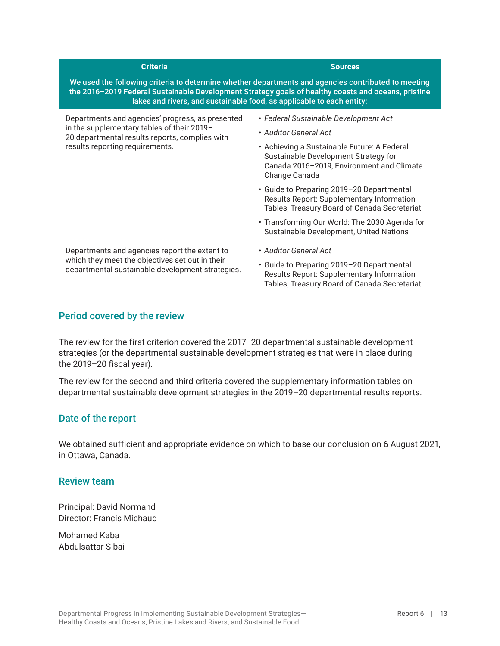| <b>Criteria</b>                                                                                                                                                                                                                                                                     | <b>Sources</b>                                                                                                                                    |  |
|-------------------------------------------------------------------------------------------------------------------------------------------------------------------------------------------------------------------------------------------------------------------------------------|---------------------------------------------------------------------------------------------------------------------------------------------------|--|
| We used the following criteria to determine whether departments and agencies contributed to meeting<br>the 2016-2019 Federal Sustainable Development Strategy goals of healthy coasts and oceans, pristine<br>lakes and rivers, and sustainable food, as applicable to each entity: |                                                                                                                                                   |  |
| Departments and agencies' progress, as presented<br>in the supplementary tables of their 2019-<br>20 departmental results reports, complies with<br>results reporting requirements.                                                                                                 | • Federal Sustainable Development Act                                                                                                             |  |
|                                                                                                                                                                                                                                                                                     | • Auditor General Act                                                                                                                             |  |
|                                                                                                                                                                                                                                                                                     | • Achieving a Sustainable Future: A Federal<br>Sustainable Development Strategy for<br>Canada 2016-2019, Environment and Climate<br>Change Canada |  |
|                                                                                                                                                                                                                                                                                     | • Guide to Preparing 2019-20 Departmental<br>Results Report: Supplementary Information<br>Tables, Treasury Board of Canada Secretariat            |  |
|                                                                                                                                                                                                                                                                                     | • Transforming Our World: The 2030 Agenda for<br>Sustainable Development, United Nations                                                          |  |
| Departments and agencies report the extent to<br>which they meet the objectives set out in their<br>departmental sustainable development strategies.                                                                                                                                | • Auditor General Act                                                                                                                             |  |
|                                                                                                                                                                                                                                                                                     | • Guide to Preparing 2019-20 Departmental<br>Results Report: Supplementary Information<br>Tables, Treasury Board of Canada Secretariat            |  |

### Period covered by the review

The review for the first criterion covered the 2017–20 departmental sustainable development strategies (or the departmental sustainable development strategies that were in place during the 2019–20 fiscal year).

The review for the second and third criteria covered the supplementary information tables on departmental sustainable development strategies in the 2019–20 departmental results reports.

#### Date of the report

We obtained sufficient and appropriate evidence on which to base our conclusion on 6 August 2021, in Ottawa, Canada.

#### Review team

Principal: David Normand Director: Francis Michaud

Mohamed Kaba Abdulsattar Sibai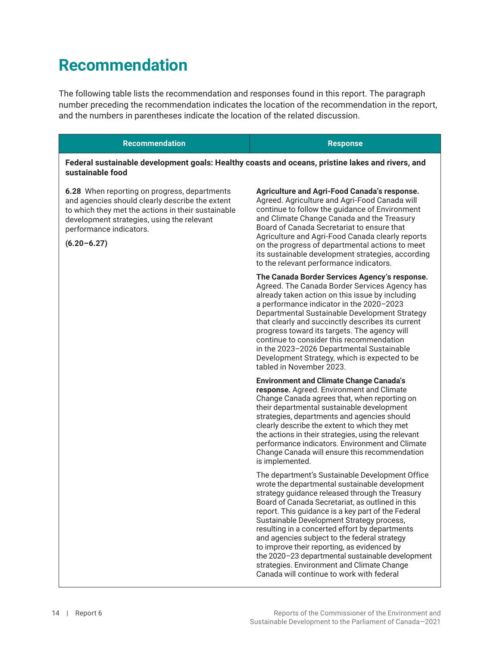## <span id="page-19-0"></span>**Recommendation**

The following table lists the recommendation and responses found in this report. The paragraph number preceding the recommendation indicates the location of the recommendation in the report, and the numbers in parentheses indicate the location of the related discussion.

#### **Recommendation Response**

#### **Federal sustainable development goals: Healthy coasts and oceans, pristine lakes and rivers, and sustainable food**

**6.28** When reporting on progress, departments and agencies should clearly describe the extent to which they met the actions in their sustainable development strategies, using the relevant performance indicators.

**(6.20–6.27)**

**Agriculture and Agri-Food Canada's response.**  Agreed. Agriculture and Agri-Food Canada will continue to follow the guidance of Environment and Climate Change Canada and the Treasury Board of Canada Secretariat to ensure that Agriculture and Agri-Food Canada clearly reports on the progress of departmental actions to meet its sustainable development strategies, according to the relevant performance indicators.

**The Canada Border Services Agency's response.**  Agreed. The Canada Border Services Agency has already taken action on this issue by including a performance indicator in the 2020–2023 Departmental Sustainable Development Strategy that clearly and succinctly describes its current progress toward its targets. The agency will continue to consider this recommendation in the 2023–2026 Departmental Sustainable Development Strategy, which is expected to be tabled in November 2023.

**Environment and Climate Change Canada's response.** Agreed. Environment and Climate Change Canada agrees that, when reporting on their departmental sustainable development strategies, departments and agencies should clearly describe the extent to which they met the actions in their strategies, using the relevant performance indicators. Environment and Climate Change Canada will ensure this recommendation is implemented.

The department's Sustainable Development Office wrote the departmental sustainable development strategy guidance released through the Treasury Board of Canada Secretariat, as outlined in this report. This guidance is a key part of the Federal Sustainable Development Strategy process, resulting in a concerted effort by departments and agencies subject to the federal strategy to improve their reporting, as evidenced by the 2020–23 departmental sustainable development strategies. Environment and Climate Change Canada will continue to work with federal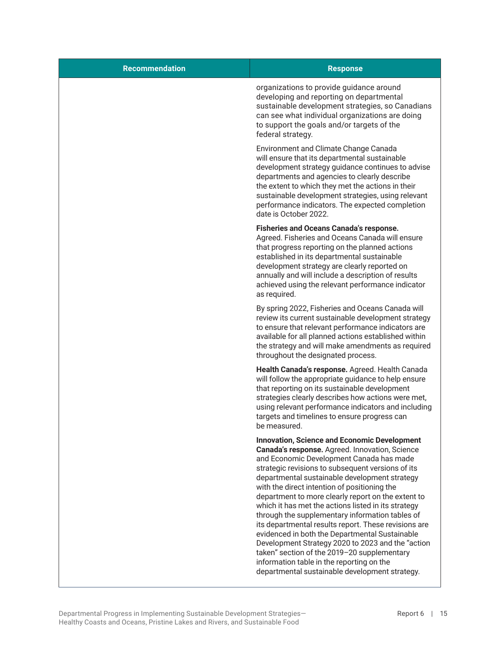| <b>Recommendation</b> | <b>Response</b>                                                                                                                                                                                                                                                                                                                                                                                                                                                                                                                                                                                                                                                                                                                                                                      |
|-----------------------|--------------------------------------------------------------------------------------------------------------------------------------------------------------------------------------------------------------------------------------------------------------------------------------------------------------------------------------------------------------------------------------------------------------------------------------------------------------------------------------------------------------------------------------------------------------------------------------------------------------------------------------------------------------------------------------------------------------------------------------------------------------------------------------|
|                       | organizations to provide guidance around<br>developing and reporting on departmental<br>sustainable development strategies, so Canadians<br>can see what individual organizations are doing<br>to support the goals and/or targets of the<br>federal strategy.                                                                                                                                                                                                                                                                                                                                                                                                                                                                                                                       |
|                       | Environment and Climate Change Canada<br>will ensure that its departmental sustainable<br>development strategy guidance continues to advise<br>departments and agencies to clearly describe<br>the extent to which they met the actions in their<br>sustainable development strategies, using relevant<br>performance indicators. The expected completion<br>date is October 2022.                                                                                                                                                                                                                                                                                                                                                                                                   |
|                       | <b>Fisheries and Oceans Canada's response.</b><br>Agreed. Fisheries and Oceans Canada will ensure<br>that progress reporting on the planned actions<br>established in its departmental sustainable<br>development strategy are clearly reported on<br>annually and will include a description of results<br>achieved using the relevant performance indicator<br>as required.                                                                                                                                                                                                                                                                                                                                                                                                        |
|                       | By spring 2022, Fisheries and Oceans Canada will<br>review its current sustainable development strategy<br>to ensure that relevant performance indicators are<br>available for all planned actions established within<br>the strategy and will make amendments as required<br>throughout the designated process.                                                                                                                                                                                                                                                                                                                                                                                                                                                                     |
|                       | Health Canada's response. Agreed. Health Canada<br>will follow the appropriate guidance to help ensure<br>that reporting on its sustainable development<br>strategies clearly describes how actions were met,<br>using relevant performance indicators and including<br>targets and timelines to ensure progress can<br>be measured.                                                                                                                                                                                                                                                                                                                                                                                                                                                 |
|                       | <b>Innovation, Science and Economic Development</b><br>Canada's response. Agreed. Innovation, Science<br>and Economic Development Canada has made<br>strategic revisions to subsequent versions of its<br>departmental sustainable development strategy<br>with the direct intention of positioning the<br>department to more clearly report on the extent to<br>which it has met the actions listed in its strategy<br>through the supplementary information tables of<br>its departmental results report. These revisions are<br>evidenced in both the Departmental Sustainable<br>Development Strategy 2020 to 2023 and the "action<br>taken" section of the 2019-20 supplementary<br>information table in the reporting on the<br>departmental sustainable development strategy. |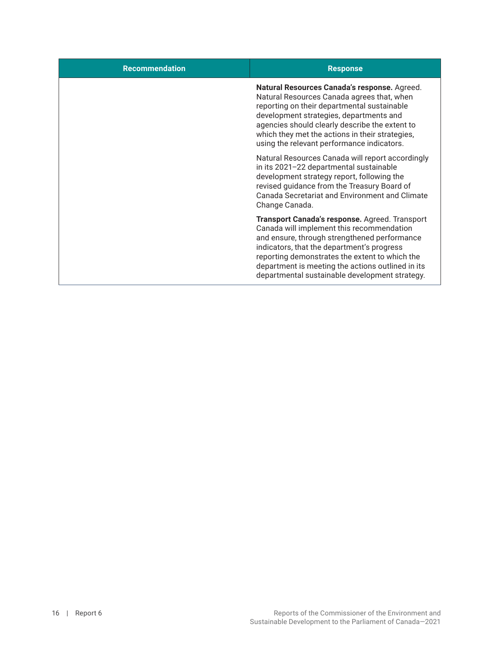| <b>Recommendation</b> | <b>Response</b>                                                                                                                                                                                                                                                                                                                                    |
|-----------------------|----------------------------------------------------------------------------------------------------------------------------------------------------------------------------------------------------------------------------------------------------------------------------------------------------------------------------------------------------|
|                       | Natural Resources Canada's response. Agreed.<br>Natural Resources Canada agrees that, when<br>reporting on their departmental sustainable<br>development strategies, departments and<br>agencies should clearly describe the extent to<br>which they met the actions in their strategies,<br>using the relevant performance indicators.            |
|                       | Natural Resources Canada will report accordingly<br>in its 2021-22 departmental sustainable<br>development strategy report, following the<br>revised guidance from the Treasury Board of<br>Canada Secretariat and Environment and Climate<br>Change Canada.                                                                                       |
|                       | Transport Canada's response. Agreed. Transport<br>Canada will implement this recommendation<br>and ensure, through strengthened performance<br>indicators, that the department's progress<br>reporting demonstrates the extent to which the<br>department is meeting the actions outlined in its<br>departmental sustainable development strategy. |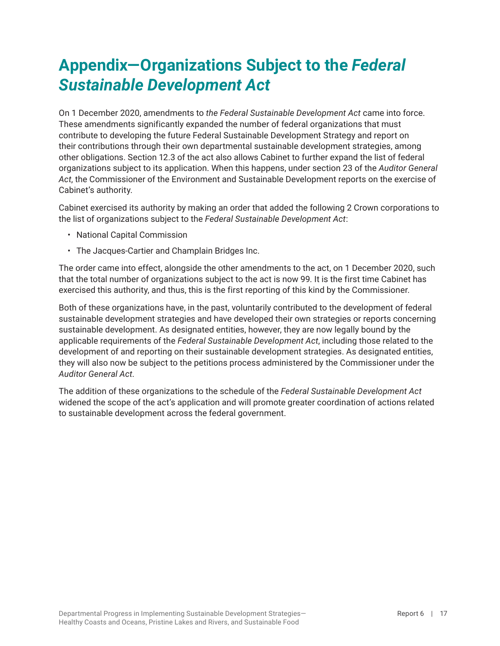## <span id="page-22-0"></span>**Appendix—Organizations Subject to the** *Federal Sustainable Development Act*

On 1 December 2020, amendments to *the Federal Sustainable Development Act* came into force. These amendments significantly expanded the number of federal organizations that must contribute to developing the future Federal Sustainable Development Strategy and report on their contributions through their own departmental sustainable development strategies, among other obligations. Section 12.3 of the act also allows Cabinet to further expand the list of federal organizations subject to its application. When this happens, under section 23 of the *Auditor General Act*, the Commissioner of the Environment and Sustainable Development reports on the exercise of Cabinet's authority.

Cabinet exercised its authority by making an order that added the following 2 Crown corporations to the list of organizations subject to the *Federal Sustainable Development Act*:

- National Capital Commission
- The Jacques-Cartier and Champlain Bridges Inc.

The order came into effect, alongside the other amendments to the act, on 1 December 2020, such that the total number of organizations subject to the act is now 99. It is the first time Cabinet has exercised this authority, and thus, this is the first reporting of this kind by the Commissioner.

Both of these organizations have, in the past, voluntarily contributed to the development of federal sustainable development strategies and have developed their own strategies or reports concerning sustainable development. As designated entities, however, they are now legally bound by the applicable requirements of the *Federal Sustainable Development Act*, including those related to the development of and reporting on their sustainable development strategies. As designated entities, they will also now be subject to the petitions process administered by the Commissioner under the *Auditor General Act*.

The addition of these organizations to the schedule of the *Federal Sustainable Development Act* widened the scope of the act's application and will promote greater coordination of actions related to sustainable development across the federal government.